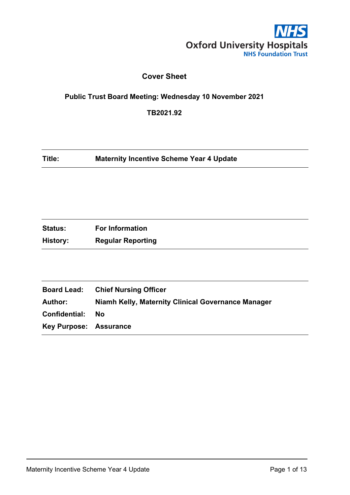

# **Cover Sheet**

# <span id="page-0-0"></span>**Public Trust Board Meeting: Wednesday 10 November 2021**

**TB2021.92**

| Title: | <b>Maternity Incentive Scheme Year 4 Update</b> |  |
|--------|-------------------------------------------------|--|
|--------|-------------------------------------------------|--|

| <b>Status:</b> | <b>For Information</b>   |
|----------------|--------------------------|
| History:       | <b>Regular Reporting</b> |

|                               | <b>Board Lead:</b> Chief Nursing Officer           |
|-------------------------------|----------------------------------------------------|
| Author:                       | Niamh Kelly, Maternity Clinical Governance Manager |
| Confidential:                 | Nο                                                 |
| <b>Key Purpose: Assurance</b> |                                                    |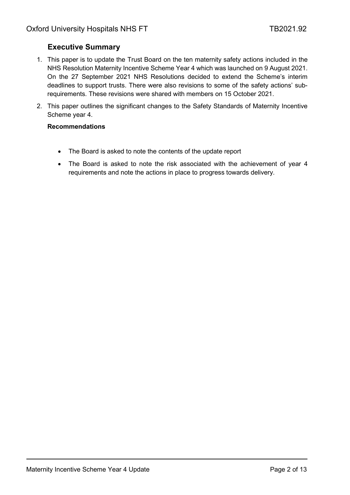## <span id="page-1-0"></span>**Executive Summary**

- 1. This paper is to update the Trust Board on the ten maternity safety actions included in the NHS Resolution Maternity Incentive Scheme Year 4 which was launched on 9 August 2021. On the 27 September 2021 NHS Resolutions decided to extend the Scheme's interim deadlines to support trusts. There were also revisions to some of the safety actions' subrequirements. These revisions were shared with members on 15 October 2021.
- 2. This paper outlines the significant changes to the Safety Standards of Maternity Incentive Scheme year 4.

### **Recommendations**

- The Board is asked to note the contents of the update report
- The Board is asked to note the risk associated with the achievement of year 4 requirements and note the actions in place to progress towards delivery.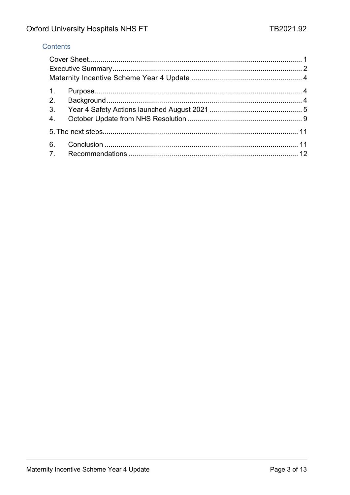## Contents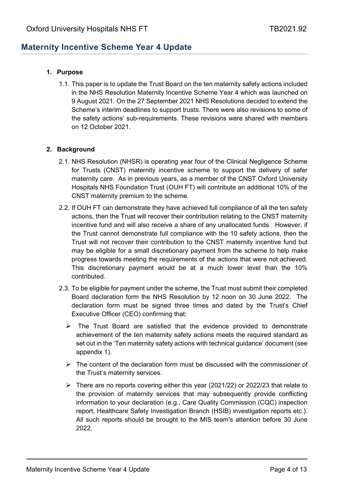# <span id="page-3-0"></span>**Maternity Incentive Scheme Year 4 Update**

## <span id="page-3-1"></span>**1. Purpose**

1.1. This paper is to update the Trust Board on the ten maternity safety actions included in the NHS Resolution Maternity Incentive Scheme Year 4 which was launched on 9 August 2021. On the 27 September 2021 NHS Resolutions decided to extend the Scheme's interim deadlines to support trusts. There were also revisions to some of the safety actions' sub-requirements. These revisions were shared with members on 12 October 2021.

## <span id="page-3-2"></span>**2. Background**

- 2.1. NHS Resolution (NHSR) is operating year four of the Clinical Negligence Scheme for Trusts (CNST) maternity incentive scheme to support the delivery of safer maternity care. As in previous years, as a member of the CNST Oxford University Hospitals NHS Foundation Trust (OUH FT) will contribute an additional 10% of the CNST maternity premium to the scheme.
- 2.2. If OUH FT can demonstrate they have achieved full compliance of all the ten safety actions, then the Trust will recover their contribution relating to the CNST maternity incentive fund and will also receive a share of any unallocated funds. However, if the Trust cannot demonstrate full compliance with the 10 safety actions, then the Trust will not recover their contribution to the CNST maternity incentive fund but may be eligible for a small discretionary payment from the scheme to help make progress towards meeting the requirements of the actions that were not achieved. This discretionary payment would be at a much lower level than the 10% contributed.
- 2.3. To be eligible for payment under the scheme, the Trust must submit their completed Board declaration form the NHS Resolution by 12 noon on 30 June 2022. The declaration form must be signed three times and dated by the Trust's Chief Executive Officer (CEO) confirming that:
	- $\triangleright$  The Trust Board are satisfied that the evidence provided to demonstrate achievement of the ten maternity safety actions meets the required standard as set out in the 'Ten maternity safety actions with technical guidance' document (see appendix 1).
	- $\triangleright$  The content of the declaration form must be discussed with the commissioner of the Trust's maternity services.
	- $\triangleright$  There are no reports covering either this year (2021/22) or 2022/23 that relate to the provision of maternity services that may subsequently provide conflicting information to your declaration (e.g., Care Quality Commission (CQC) inspection report, Healthcare Safety Investigation Branch (HSIB) investigation reports etc.). All such reports should be brought to the MIS team's attention before 30 June 2022.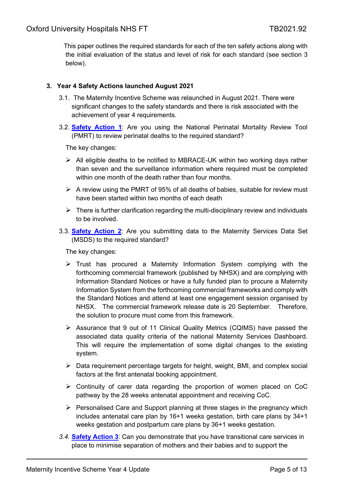This paper outlines the required standards for each of the ten safety actions along with the initial evaluation of the status and level of risk for each standard (see section 3 below).

## <span id="page-4-0"></span>**3. Year 4 Safety Actions launched August 2021**

- 3.1. The Maternity Incentive Scheme was relaunched in August 2021. There were significant changes to the safety standards and there is risk associated with the achievement of year 4 requirements.
- 3.2. **Safety Action 1**: Are you using the National Perinatal Mortality Review Tool (PMRT) to review perinatal deaths to the required standard?

The key changes:

- $\triangleright$  All eligible deaths to be notified to MBRACE-UK within two working days rather than seven and the surveillance information where required must be completed within one month of the death rather than four months.
- $\triangleright$  A review using the PMRT of 95% of all deaths of babies, suitable for review must have been started within two months of each death
- $\triangleright$  There is further clarification regarding the multi-disciplinary review and individuals to be involved.
- 3.3. **Safety Action 2**: Are you submitting data to the Maternity Services Data Set (MSDS) to the required standard?

The key changes:

- $\triangleright$  Trust has procured a Maternity Information System complying with the forthcoming commercial framework (published by NHSX) and are complying with Information Standard Notices or have a fully funded plan to procure a Maternity Information System from the forthcoming commercial frameworks and comply with the Standard Notices and attend at least one engagement session organised by NHSX. The commercial framework release date is 20 September. Therefore, the solution to procure must come from this framework.
- $\triangleright$  Assurance that 9 out of 11 Clinical Quality Metrics (CQIMS) have passed the associated data quality criteria of the national Maternity Services Dashboard. This will require the implementation of some digital changes to the existing system.
- $\triangleright$  Data requirement percentage targets for height, weight, BMI, and complex social factors at the first antenatal booking appointment.
- Continuity of carer data regarding the proportion of women placed on CoC pathway by the 28 weeks antenatal appointment and receiving CoC.
- $\triangleright$  Personalised Care and Support planning at three stages in the pregnancy which includes antenatal care plan by 16+1 weeks gestation, birth care plans by 34+1 weeks gestation and postpartum care plans by 36+1 weeks gestation.
- *3.4.* **Safety Action 3**: Can you demonstrate that you have transitional care services in place to minimise separation of mothers and their babies and to support the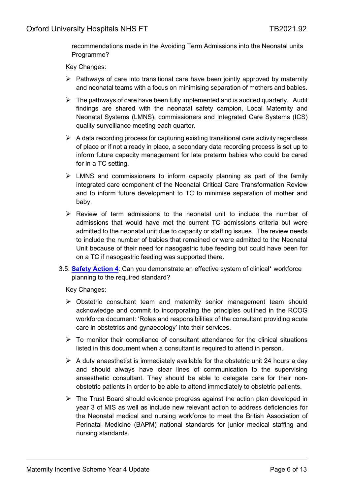recommendations made in the Avoiding Term Admissions into the Neonatal units Programme?

Key Changes:

- $\triangleright$  Pathways of care into transitional care have been jointly approved by maternity and neonatal teams with a focus on minimising separation of mothers and babies.
- $\triangleright$  The pathways of care have been fully implemented and is audited quarterly. Audit findings are shared with the neonatal safety campion, Local Maternity and Neonatal Systems (LMNS), commissioners and Integrated Care Systems (ICS) quality surveillance meeting each quarter.
- $\triangleright$  A data recording process for capturing existing transitional care activity regardless of place or if not already in place, a secondary data recording process is set up to inform future capacity management for late preterm babies who could be cared for in a TC setting.
- $\triangleright$  LMNS and commissioners to inform capacity planning as part of the family integrated care component of the Neonatal Critical Care Transformation Review and to inform future development to TC to minimise separation of mother and baby.
- $\triangleright$  Review of term admissions to the neonatal unit to include the number of admissions that would have met the current TC admissions criteria but were admitted to the neonatal unit due to capacity or staffing issues. The review needs to include the number of babies that remained or were admitted to the Neonatal Unit because of their need for nasogastric tube feeding but could have been for on a TC if nasogastric feeding was supported there.
- 3.5. **Safety Action 4**: Can you demonstrate an effective system of clinical\* workforce planning to the required standard?

Key Changes:

- $\triangleright$  Obstetric consultant team and maternity senior management team should acknowledge and commit to incorporating the principles outlined in the RCOG workforce document: 'Roles and responsibilities of the consultant providing acute care in obstetrics and gynaecology' into their services.
- $\triangleright$  To monitor their compliance of consultant attendance for the clinical situations listed in this document when a consultant is required to attend in person.
- $\triangleright$  A duty anaesthetist is immediately available for the obstetric unit 24 hours a day and should always have clear lines of communication to the supervising anaesthetic consultant. They should be able to delegate care for their nonobstetric patients in order to be able to attend immediately to obstetric patients.
- $\triangleright$  The Trust Board should evidence progress against the action plan developed in year 3 of MIS as well as include new relevant action to address deficiencies for the Neonatal medical and nursing workforce to meet the British Association of Perinatal Medicine (BAPM) national standards for junior medical staffing and nursing standards.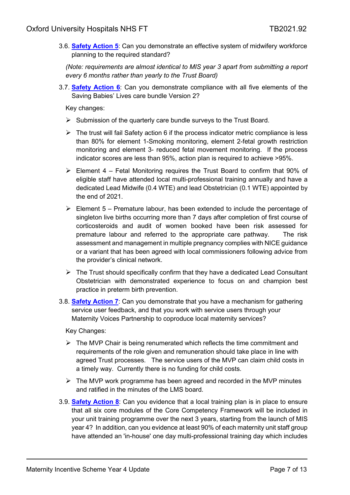3.6. **Safety Action 5**: Can you demonstrate an effective system of midwifery workforce planning to the required standard?

*(Note: requirements are almost identical to MIS year 3 apart from submitting a report every 6 months rather than yearly to the Trust Board)*

3.7. **Safety Action 6**: Can you demonstrate compliance with all five elements of the Saving Babies' Lives care bundle Version 2?

Key changes:

- $\triangleright$  Submission of the quarterly care bundle surveys to the Trust Board.
- $\triangleright$  The trust will fail Safety action 6 if the process indicator metric compliance is less than 80% for element 1-Smoking monitoring, element 2-fetal growth restriction monitoring and element 3- reduced fetal movement monitoring. If the process indicator scores are less than 95%, action plan is required to achieve >95%.
- $\triangleright$  Element 4 Fetal Monitoring requires the Trust Board to confirm that 90% of eligible staff have attended local multi-professional training annually and have a dedicated Lead Midwife (0.4 WTE) and lead Obstetrician (0.1 WTE) appointed by the end of 2021.
- $\triangleright$  Element 5 Premature labour, has been extended to include the percentage of singleton live births occurring more than 7 days after completion of first course of corticosteroids and audit of women booked have been risk assessed for premature labour and referred to the appropriate care pathway. The risk assessment and management in multiple pregnancy complies with NICE guidance or a variant that has been agreed with local commissioners following advice from the provider's clinical network.
- $\triangleright$  The Trust should specifically confirm that they have a dedicated Lead Consultant Obstetrician with demonstrated experience to focus on and champion best practice in preterm birth prevention.
- 3.8. **Safety Action 7**: Can you demonstrate that you have a mechanism for gathering service user feedback, and that you work with service users through your Maternity Voices Partnership to coproduce local maternity services?

Key Changes:

- $\triangleright$  The MVP Chair is being renumerated which reflects the time commitment and requirements of the role given and remuneration should take place in line with agreed Trust processes. The service users of the MVP can claim child costs in a timely way. Currently there is no funding for child costs.
- $\triangleright$  The MVP work programme has been agreed and recorded in the MVP minutes and ratified in the minutes of the LMS board.
- 3.9. **Safety Action 8**: Can you evidence that a local training plan is in place to ensure that all six core modules of the Core Competency Framework will be included in your unit training programme over the next 3 years, starting from the launch of MIS year 4? In addition, can you evidence at least 90% of each maternity unit staff group have attended an 'in-house' one day multi-professional training day which includes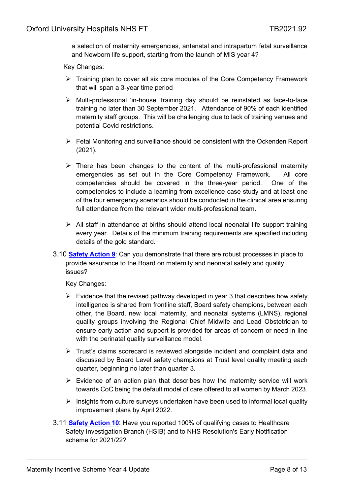a selection of maternity emergencies, antenatal and intrapartum fetal surveillance and Newborn life support, starting from the launch of MIS year 4?

Key Changes:

- $\triangleright$  Training plan to cover all six core modules of the Core Competency Framework that will span a 3-year time period
- Multi-professional 'in-house' training day should be reinstated as face-to-face training no later than 30 September 2021. Attendance of 90% of each identified maternity staff groups. This will be challenging due to lack of training venues and potential Covid restrictions.
- $\triangleright$  Fetal Monitoring and surveillance should be consistent with the Ockenden Report (2021).
- $\triangleright$  There has been changes to the content of the multi-professional maternity emergencies as set out in the Core Competency Framework. All core competencies should be covered in the three-year period. One of the competencies to include a learning from excellence case study and at least one of the four emergency scenarios should be conducted in the clinical area ensuring full attendance from the relevant wider multi-professional team.
- $\triangleright$  All staff in attendance at births should attend local neonatal life support training every year. Details of the minimum training requirements are specified including details of the gold standard.
- 3.10 **Safety Action 9**: Can you demonstrate that there are robust processes in place to provide assurance to the Board on maternity and neonatal safety and quality issues?

Key Changes:

- $\triangleright$  Evidence that the revised pathway developed in year 3 that describes how safety intelligence is shared from frontline staff, Board safety champions, between each other, the Board, new local maternity, and neonatal systems (LMNS), regional quality groups involving the Regional Chief Midwife and Lead Obstetrician to ensure early action and support is provided for areas of concern or need in line with the perinatal quality surveillance model.
- $\triangleright$  Trust's claims scorecard is reviewed alongside incident and complaint data and discussed by Board Level safety champions at Trust level quality meeting each quarter, beginning no later than quarter 3.
- $\triangleright$  Evidence of an action plan that describes how the maternity service will work towards CoC being the default model of care offered to all women by March 2023.
- $\triangleright$  Insights from culture surveys undertaken have been used to informal local quality improvement plans by April 2022.
- 3.11 **Safety Action 10**: Have you reported 100% of qualifying cases to Healthcare Safety Investigation Branch (HSIB) and to NHS Resolution's Early Notification scheme for 2021/22?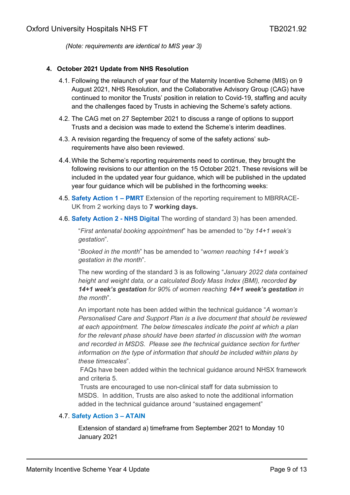*(Note: requirements are identical to MIS year 3)*

#### <span id="page-8-0"></span>**4. October 2021 Update from NHS Resolution**

- 4.1. Following the relaunch of year four of the Maternity Incentive Scheme (MIS) on 9 August 2021, NHS Resolution, and the Collaborative Advisory Group (CAG) have continued to monitor the Trusts' position in relation to Covid-19, staffing and acuity and the challenges faced by Trusts in achieving the Scheme's safety actions.
- 4.2. The CAG met on 27 September 2021 to discuss a range of options to support Trusts and a decision was made to extend the Scheme's interim deadlines.
- 4.3. A revision regarding the frequency of some of the safety actions' subrequirements have also been reviewed.
- 4.4.While the Scheme's reporting requirements need to continue, they brought the following revisions to our attention on the 15 October 2021. These revisions will be included in the updated year four guidance, which will be published in the updated year four guidance which will be published in the forthcoming weeks:
- 4.5. **Safety Action 1 – PMRT** Extension of the reporting requirement to MBRRACE-UK from 2 working days to **7 working days.**
- 4.6. **Safety Action 2 - NHS Digital** The wording of standard 3) has been amended.

"*First antenatal booking appointment*" has be amended to "*by 14+1 week's gestation*".

"*Booked in the month*" has be amended to "*women reaching 14+1 week's gestation in the month*".

The new wording of the standard 3 is as following "*January 2022 data contained height and weight data, or a calculated Body Mass Index (BMI), recorded by 14+1 week's gestation for 90% of women reaching 14+1 week's gestation in the month*".

An important note has been added within the technical guidance "*A woman's Personalised Care and Support Plan is a live document that should be reviewed at each appointment. The below timescales indicate the point at which a plan for the relevant phase should have been started in discussion with the woman and recorded in MSDS. Please see the technical guidance section for further information on the type of information that should be included within plans by these timescales*".

FAQs have been added within the technical guidance around NHSX framework and criteria 5.

Trusts are encouraged to use non-clinical staff for data submission to MSDS. In addition, Trusts are also asked to note the additional information added in the technical guidance around "sustained engagement"

#### 4.7. **Safety Action 3 – ATAIN**

Extension of standard a) timeframe from September 2021 to Monday 10 January 2021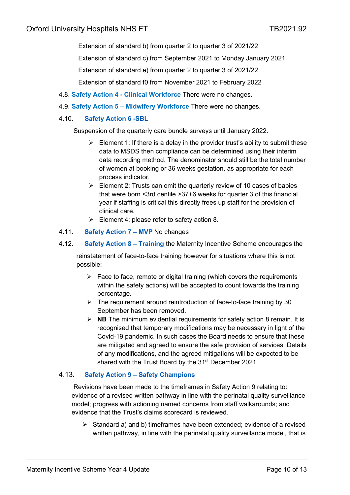Extension of standard b) from quarter 2 to quarter 3 of 2021/22

Extension of standard c) from September 2021 to Monday January 2021

Extension of standard e) from quarter 2 to quarter 3 of 2021/22

Extension of standard f0 from November 2021 to February 2022

- 4.8. **Safety Action 4 - Clinical Workforce** There were no changes.
- 4.9. **Safety Action 5 – Midwifery Workforce** There were no changes.

### 4.10. **Safety Action 6 -SBL**

Suspension of the quarterly care bundle surveys until January 2022.

- $\triangleright$  Element 1: If there is a delay in the provider trust's ability to submit these data to MSDS then compliance can be determined using their interim data recording method. The denominator should still be the total number of women at booking or 36 weeks gestation, as appropriate for each process indicator.
- $\triangleright$  Element 2: Trusts can omit the quarterly review of 10 cases of babies that were born <3rd centile >37+6 weeks for quarter 3 of this financial year if staffing is critical this directly frees up staff for the provision of clinical care.
- $\triangleright$  Element 4: please refer to safety action 8.
- 4.11. **Safety Action 7 – MVP** No changes

#### 4.12. **Safety Action 8 – Training** the Maternity Incentive Scheme encourages the

 reinstatement of face-to-face training however for situations where this is not possible:

- $\triangleright$  Face to face, remote or digital training (which covers the requirements within the safety actions) will be accepted to count towards the training percentage.
- $\triangleright$  The requirement around reintroduction of face-to-face training by 30 September has been removed.
- **NB** The minimum evidential requirements for safety action 8 remain. It is recognised that temporary modifications may be necessary in light of the Covid-19 pandemic. In such cases the Board needs to ensure that these are mitigated and agreed to ensure the safe provision of services. Details of any modifications, and the agreed mitigations will be expected to be shared with the Trust Board by the 31<sup>st</sup> December 2021.

#### 4.13. **Safety Action 9 – Safety Champions**

Revisions have been made to the timeframes in Safety Action 9 relating to: evidence of a revised written pathway in line with the perinatal quality surveillance model; progress with actioning named concerns from staff walkarounds; and evidence that the Trust's claims scorecard is reviewed.

 $\triangleright$  Standard a) and b) timeframes have been extended; evidence of a revised written pathway, in line with the perinatal quality surveillance model, that is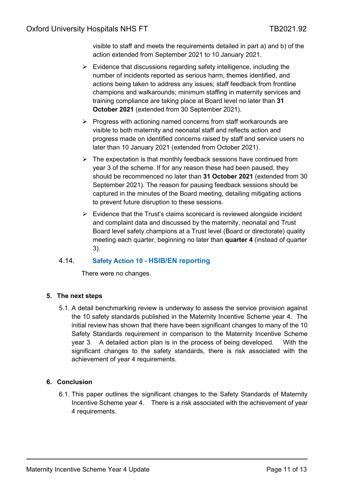visible to staff and meets the requirements detailed in part a) and b) of the action extended from September 2021 to 10 January 2021.

- $\triangleright$  Evidence that discussions regarding safety intelligence, including the number of incidents reported as serious harm, themes identified, and actions being taken to address any issues; staff feedback from frontline champions and walkarounds; minimum staffing in maternity services and training compliance are taking place at Board level no later than **31 October 2021** (extended from 30 September 2021).
- $\triangleright$  Progress with actioning named concerns from staff workarounds are visible to both maternity and neonatal staff and reflects action and progress made on identified concerns raised by staff and service users no later than 10 January 2021 (extended from October 2021).
- $\triangleright$  The expectation is that monthly feedback sessions have continued from year 3 of the scheme. If for any reason these had been paused, they should be recommenced no later than **31 October 2021** (extended from 30 September 2021). The reason for pausing feedback sessions should be captured in the minutes of the Board meeting, detailing mitigating actions to prevent future disruption to these sessions.
- $\triangleright$  Evidence that the Trust's claims scorecard is reviewed alongside incident and complaint data and discussed by the maternity, neonatal and Trust Board level safety champions at a Trust level (Board or directorate) quality meeting each quarter, beginning no later than **quarter 4** (instead of quarter 3).

## 4.14. **Safety Action 10 - HSIB/EN reporting**

There were no changes.

## <span id="page-10-0"></span>**5. The next steps**

5.1. A detail benchmarking review is underway to assess the service provision against the 10 safety standards published in the Maternity Incentive Scheme year 4. The initial review has shown that there have been significant changes to many of the 10 Safety Standards requirement in comparison to the Maternity Incentive Scheme year 3. A detailed action plan is in the process of being developed. With the significant changes to the safety standards, there is risk associated with the achievement of year 4 requirements.

## <span id="page-10-1"></span>**6. Conclusion**

6.1. This paper outlines the significant changes to the Safety Standards of Maternity Incentive Scheme year 4. There is a risk associated with the achievement of year 4 requirements.